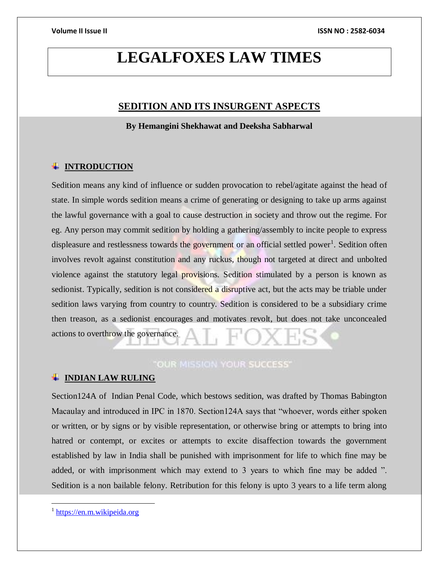# **LEGALFOXES LAW TIMES**

# **SEDITION AND ITS INSURGENT ASPECTS**

**By Hemangini Shekhawat and Deeksha Sabharwal**

# **INTRODUCTION**

Sedition means any kind of influence or sudden provocation to rebel/agitate against the head of state. In simple words sedition means a crime of generating or designing to take up arms against the lawful governance with a goal to cause destruction in society and throw out the regime. For eg. Any person may commit sedition by holding a gathering/assembly to incite people to express displeasure and restlessness towards the government or an official settled power<sup>1</sup>. Sedition often involves revolt against constitution and any ruckus, though not targeted at direct and unbolted violence against the statutory legal provisions. Sedition stimulated by a person is known as sedionist. Typically, sedition is not considered a disruptive act, but the acts may be triable under sedition laws varying from country to country. Sedition is considered to be a subsidiary crime then treason, as a sedionist encourages and motivates revolt, but does not take unconcealed actions to overthrow the governance.

# "OUR MISSION YOUR SUCCESS"

## **INDIAN LAW RULING**

Section124A of Indian Penal Code, which bestows sedition, was drafted by Thomas Babington Macaulay and introduced in IPC in 1870. Section124A says that "whoever, words either spoken or written, or by signs or by visible representation, or otherwise bring or attempts to bring into hatred or contempt, or excites or attempts to excite disaffection towards the government established by law in India shall be punished with imprisonment for life to which fine may be added, or with imprisonment which may extend to 3 years to which fine may be added ". Sedition is a non bailable felony. Retribution for this felony is upto 3 years to a life term along

 $\overline{a}$ 

<sup>&</sup>lt;sup>1</sup> [https://en.m.wikipeida.org](https://en.m.wikipeida.org/)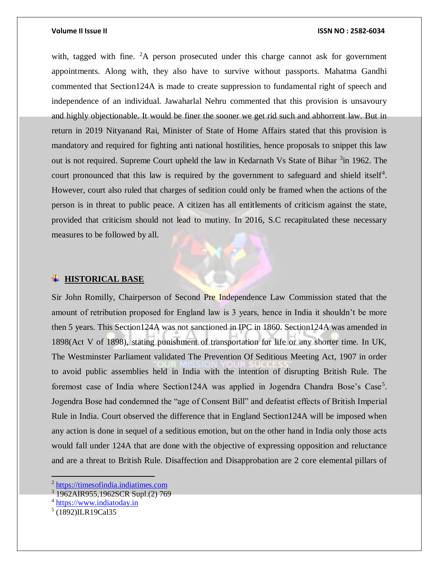### **Volume II Issue II ISSN NO : 2582-6034**

with, tagged with fine.  ${}^{2}A$  person prosecuted under this charge cannot ask for government appointments. Along with, they also have to survive without passports. Mahatma Gandhi commented that Section124A is made to create suppression to fundamental right of speech and independence of an individual. Jawaharlal Nehru commented that this provision is unsavoury and highly objectionable. It would be finer the sooner we get rid such and abhorrent law. But in return in 2019 Nityanand Rai, Minister of State of Home Affairs stated that this provision is mandatory and required for fighting anti national hostilities, hence proposals to snippet this law out is not required. Supreme Court upheld the law in Kedarnath Vs State of Bihar <sup>3</sup> in 1962. The court pronounced that this law is required by the government to safeguard and shield itself<sup>4</sup>. However, court also ruled that charges of sedition could only be framed when the actions of the person is in threat to public peace. A citizen has all entitlements of criticism against the state, provided that criticism should not lead to mutiny. In 2016, S.C recapitulated these necessary measures to be followed by all.

### **HISTORICAL BASE**

Sir John Romilly, Chairperson of Second Pre Independence Law Commission stated that the amount of retribution proposed for England law is 3 years, hence in India it shouldn't be more then 5 years. This Section124A was not sanctioned in IPC in 1860. Section124A was amended in 1898(Act V of 1898), stating punishment of transportation for life or any shorter time. In UK, The Westminster Parliament validated The Prevention Of Seditious Meeting Act, 1907 in order to avoid public assemblies held in India with the intention of disrupting British Rule. The foremost case of India where Section124A was applied in Jogendra Chandra Bose's Case<sup>5</sup>. Jogendra Bose had condemned the "age of Consent Bill" and defeatist effects of British Imperial Rule in India. Court observed the difference that in England Section124A will be imposed when any action is done in sequel of a seditious emotion, but on the other hand in India only those acts would fall under 124A that are done with the objective of expressing opposition and reluctance and are a threat to British Rule. Disaffection and Disapprobation are 2 core elemental pillars of

<sup>&</sup>lt;sup>2</sup> [https://timesofindia.indiatimes.com](https://timesofindia.indiatimes.com/)

<sup>3</sup> 1962AIR955,1962SCR Supl.(2) 769

<sup>&</sup>lt;sup>4</sup> [https://www.indiatoday.in](https://www.indiatoday.in/)

<sup>5</sup> (1892)ILR19Cal35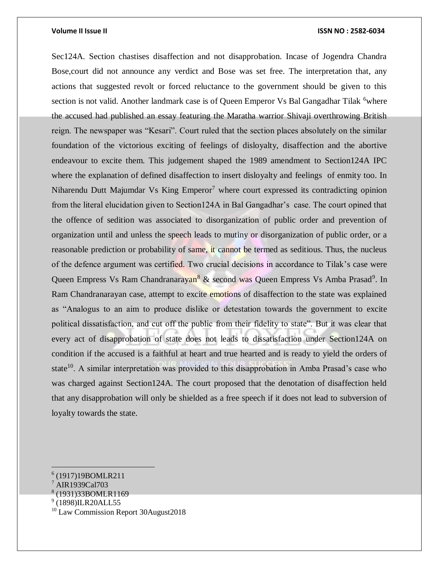### **Volume II Issue II ISSN NO : 2582-6034**

Sec124A. Section chastises disaffection and not disapprobation. Incase of Jogendra Chandra Bose,court did not announce any verdict and Bose was set free. The interpretation that, any actions that suggested revolt or forced reluctance to the government should be given to this section is not valid. Another landmark case is of Queen Emperor Vs Bal Gangadhar Tilak <sup>6</sup>where the accused had published an essay featuring the Maratha warrior Shivaji overthrowing British reign. The newspaper was "Kesari". Court ruled that the section places absolutely on the similar foundation of the victorious exciting of feelings of disloyalty, disaffection and the abortive endeavour to excite them. This judgement shaped the 1989 amendment to Section124A IPC where the explanation of defined disaffection to insert disloyalty and feelings of enmity too. In Niharendu Dutt Majumdar Vs King  $Emperor<sup>7</sup>$  where court expressed its contradicting opinion from the literal elucidation given to Section124A in Bal Gangadhar's case. The court opined that the offence of sedition was associated to disorganization of public order and prevention of organization until and unless the speech leads to mutiny or disorganization of public order, or a reasonable prediction or probability of same, it cannot be termed as seditious. Thus, the nucleus of the defence argument was certified. Two crucial decisions in accordance to Tilak's case were Queen Empress Vs Ram Chandranarayan<sup>8</sup> & second was Queen Empress Vs Amba Prasad<sup>9</sup>. In Ram Chandranarayan case, attempt to excite emotions of disaffection to the state was explained as "Analogus to an aim to produce dislike or detestation towards the government to excite political dissatisfaction, and cut off the public from their fidelity to state". But it was clear that every act of disapprobation of state does not leads to dissatisfaction under Section124A on condition if the accused is a faithful at heart and true hearted and is ready to yield the orders of state<sup>10</sup>. A similar interpretation was provided to this disapprobation in Amba Prasad's case who was charged against Section124A. The court proposed that the denotation of disaffection held that any disapprobation will only be shielded as a free speech if it does not lead to subversion of loyalty towards the state.

<sup>6</sup> (1917)19BOMLR211

<sup>7</sup> AIR1939Cal703

<sup>8</sup> (1931)33BOMLR1169

<sup>&</sup>lt;sup>9</sup> (1898)ILR20ALL55

<sup>&</sup>lt;sup>10</sup> Law Commission Report 30August2018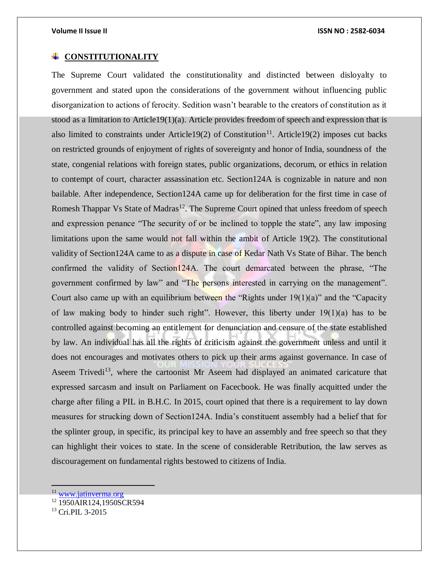### **CONSTITUTIONALITY**

The Supreme Court validated the constitutionality and distincted between disloyalty to government and stated upon the considerations of the government without influencing public disorganization to actions of ferocity. Sedition wasn't bearable to the creators of constitution as it stood as a limitation to Article19(1)(a). Article provides freedom of speech and expression that is also limited to constraints under Article19(2) of Constitution<sup>11</sup>. Article19(2) imposes cut backs on restricted grounds of enjoyment of rights of sovereignty and honor of India, soundness of the state, congenial relations with foreign states, public organizations, decorum, or ethics in relation to contempt of court, character assassination etc. Section124A is cognizable in nature and non bailable. After independence, Section124A came up for deliberation for the first time in case of Romesh Thappar Vs State of Madras<sup>12</sup>. The Supreme Court opined that unless freedom of speech and expression penance "The security of or be inclined to topple the state", any law imposing limitations upon the same would not fall within the ambit of Article 19(2). The constitutional validity of Section124A came to as a dispute in case of Kedar Nath Vs State of Bihar. The bench confirmed the validity of Section124A. The court demarcated between the phrase, "The government confirmed by law" and "The persons interested in carrying on the management". Court also came up with an equilibrium between the "Rights under  $19(1)(a)$ " and the "Capacity of law making body to hinder such right". However, this liberty under 19(1)(a) has to be controlled against becoming an entitlement for denunciation and censure of the state established by law. An individual has all the rights of criticism against the government unless and until it does not encourages and motivates others to pick up their arms against governance. In case of Aseem Trivedi<sup>13</sup>, where the cartoonist Mr Aseem had displayed an animated caricature that expressed sarcasm and insult on Parliament on Facecbook. He was finally acquitted under the charge after filing a PIL in B.H.C. In 2015, court opined that there is a requirement to lay down measures for strucking down of Section124A. India's constituent assembly had a belief that for the splinter group, in specific, its principal key to have an assembly and free speech so that they can highlight their voices to state. In the scene of considerable Retribution, the law serves as discouragement on fundamental rights bestowed to citizens of India.

<sup>&</sup>lt;sup>11</sup> [www.jatinverma.org](http://www.jatinverma.org/)

<sup>&</sup>lt;sup>12</sup> 1950AIR124,1950SCR594

 $^{13}$  Cri.PIL 3-2015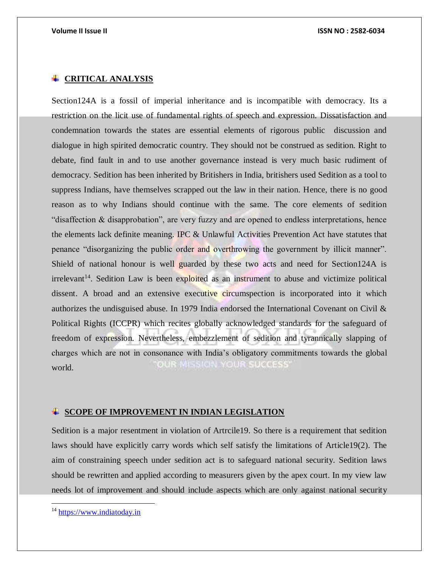### **CRITICAL ANALYSIS**

Section124A is a fossil of imperial inheritance and is incompatible with democracy. Its a restriction on the licit use of fundamental rights of speech and expression. Dissatisfaction and condemnation towards the states are essential elements of rigorous public discussion and dialogue in high spirited democratic country. They should not be construed as sedition. Right to debate, find fault in and to use another governance instead is very much basic rudiment of democracy. Sedition has been inherited by Britishers in India, britishers used Sedition as a tool to suppress Indians, have themselves scrapped out the law in their nation. Hence, there is no good reason as to why Indians should continue with the same. The core elements of sedition "disaffection & disapprobation", are very fuzzy and are opened to endless interpretations, hence the elements lack definite meaning. IPC & Unlawful Activities Prevention Act have statutes that penance "disorganizing the public order and overthrowing the government by illicit manner". Shield of national honour is well guarded by these two acts and need for Section124A is  $irrelevant<sup>14</sup>$ . Sedition Law is been exploited as an instrument to abuse and victimize political dissent. A broad and an extensive executive circumspection is incorporated into it which authorizes the undisguised abuse. In 1979 India endorsed the International Covenant on Civil & Political Rights (ICCPR) which recites globally acknowledged standards for the safeguard of freedom of expression. Nevertheless, embezzlement of sedition and tyrannically slapping of charges which are not in consonance with India's obligatory commitments towards the global **OUR MISSION YOUR SUCCESS'** world.

### **SCOPE OF IMPROVEMENT IN INDIAN LEGISLATION**

Sedition is a major resentment in violation of Artrcile19. So there is a requirement that sedition laws should have explicitly carry words which self satisfy the limitations of Article19(2). The aim of constraining speech under sedition act is to safeguard national security. Sedition laws should be rewritten and applied according to measurers given by the apex court. In my view law needs lot of improvement and should include aspects which are only against national security

 $\overline{a}$ 

<sup>&</sup>lt;sup>14</sup> [https://www.indiatoday.in](https://www.indiatoday.in/)